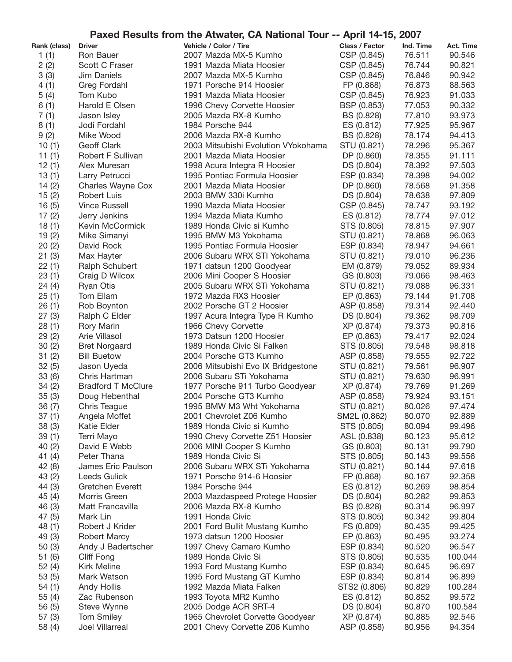| Paxed Results from the Atwater, CA National Tour -- April 14-15, 2007 |                             |                                                 |                          |                  |                  |
|-----------------------------------------------------------------------|-----------------------------|-------------------------------------------------|--------------------------|------------------|------------------|
| Rank (class)                                                          | <b>Driver</b>               | Vehicle / Color / Tire                          | Class / Factor           | Ind. Time        | Act. Time        |
| 1(1)                                                                  | Ron Bauer                   | 2007 Mazda MX-5 Kumho                           | CSP (0.845)              | 76.511           | 90.546           |
| 2(2)                                                                  | Scott C Fraser              | 1991 Mazda Miata Hoosier                        | CSP (0.845)              | 76.744           | 90.821           |
| 3(3)                                                                  | Jim Daniels                 | 2007 Mazda MX-5 Kumho                           | CSP (0.845)              | 76.846           | 90.942           |
| 4(1)                                                                  | Greg Fordahl                | 1971 Porsche 914 Hoosier                        | FP (0.868)               | 76.873           | 88.563           |
| 5(4)                                                                  | Tom Kubo                    | 1991 Mazda Miata Hoosier                        | CSP (0.845)              | 76.923           | 91.033           |
| 6(1)                                                                  | Harold E Olsen              | 1996 Chevy Corvette Hoosier                     | BSP (0.853)              | 77.053           | 90.332           |
| 7(1)                                                                  | Jason Isley                 | 2005 Mazda RX-8 Kumho                           | BS (0.828)               | 77.810           | 93.973           |
| 8(1)                                                                  | Jodi Fordahl                | 1984 Porsche 944                                | ES (0.812)               | 77.925           | 95.967           |
| 9(2)                                                                  | Mike Wood                   | 2006 Mazda RX-8 Kumho                           | BS (0.828)               | 78.174           | 94.413           |
| 10(1)                                                                 | <b>Geoff Clark</b>          | 2003 Mitsubishi Evolution VYokohama             | STU (0.821)              | 78.296           | 95.367           |
| 11(1)                                                                 | Robert F Sullivan           | 2001 Mazda Miata Hoosier                        | DP (0.860)               | 78.355           | 91.111           |
| 12(1)                                                                 | Alex Muresan                | 1998 Acura Integra R Hoosier                    | DS (0.804)               | 78.392           | 97.503           |
| 13(1)                                                                 | Larry Petrucci              | 1995 Pontiac Formula Hoosier                    | ESP (0.834)              | 78.398           | 94.002           |
| 14(2)                                                                 | Charles Wayne Cox           | 2001 Mazda Miata Hoosier                        | DP (0.860)               | 78.568           | 91.358           |
| 15(2)                                                                 | Robert Luis                 | 2003 BMW 330i Kumho                             | DS (0.804)               | 78.638           | 97.809           |
| 16(5)                                                                 | <b>Vince Russell</b>        | 1990 Mazda Miata Hoosier                        | CSP (0.845)              | 78.747           | 93.192           |
| 17(2)                                                                 | Jerry Jenkins               | 1994 Mazda Miata Kumho                          | ES (0.812)               | 78.774           | 97.012           |
| 18(1)                                                                 | Kevin McCormick             | 1989 Honda Civic si Kumho                       | STS (0.805)              | 78.815           | 97.907           |
| 19(2)                                                                 | Mike Simanyi                | 1995 BMW M3 Yokohama                            | STU (0.821)              | 78.868           | 96.063           |
| 20(2)                                                                 | David Rock                  | 1995 Pontiac Formula Hoosier                    | ESP (0.834)              | 78.947           | 94.661           |
| 21(3)                                                                 | Max Hayter                  | 2006 Subaru WRX STI Yokohama                    | STU (0.821)              | 79.010           | 96.236           |
| 22(1)                                                                 | Ralph Schubert              | 1971 datsun 1200 Goodyear                       | EM (0.879)               | 79.052           | 89.934           |
| 23(1)                                                                 | Craig D Wilcox              | 2006 Mini Cooper S Hoosier                      | GS (0.803)               | 79.066           | 98.463           |
| 24(4)                                                                 | <b>Ryan Otis</b>            | 2005 Subaru WRX STi Yokohama                    | STU (0.821)              | 79.088           | 96.331           |
| 25(1)                                                                 | Tom Ellam                   | 1972 Mazda RX3 Hoosier                          | EP (0.863)               | 79.144           | 91.708           |
| 26(1)                                                                 | Rob Boynton                 | 2002 Porsche GT 2 Hoosier                       | ASP (0.858)              | 79.314           | 92.440<br>98.709 |
| 27(3)                                                                 | Ralph C Elder               | 1997 Acura Integra Type R Kumho                 | DS (0.804)<br>XP (0.874) | 79.362<br>79.373 | 90.816           |
| 28(1)<br>29(2)                                                        | Rory Marin<br>Arie Villasol | 1966 Chevy Corvette<br>1973 Datsun 1200 Hoosier | EP (0.863)               | 79.417           | 92.024           |
| 30(2)                                                                 | <b>Bret Norgaard</b>        | 1989 Honda Civic Si Falken                      | STS (0.805)              | 79.548           | 98.818           |
| 31(2)                                                                 | <b>Bill Buetow</b>          | 2004 Porsche GT3 Kumho                          | ASP (0.858)              | 79.555           | 92.722           |
| 32(5)                                                                 | Jason Uyeda                 | 2006 Mitsubishi Evo IX Bridgestone              | STU (0.821)              | 79.561           | 96.907           |
| 33(6)                                                                 | Chris Hartman               | 2006 Subaru STi Yokohama                        | STU (0.821)              | 79.630           | 96.991           |
| 34(2)                                                                 | <b>Bradford T McClure</b>   | 1977 Porsche 911 Turbo Goodyear                 | XP (0.874)               | 79.769           | 91.269           |
| 35(3)                                                                 | Doug Hebenthal              | 2004 Porsche GT3 Kumho                          | ASP (0.858)              | 79.924           | 93.151           |
| 36(7)                                                                 | Chris Teague                | 1995 BMW M3 Wht Yokohama                        | STU (0.821)              | 80.026           | 97.474           |
| 37(1)                                                                 | Angela Moffet               | 2001 Chevrolet Z06 Kumho                        | SM2L (0.862)             | 80.070           | 92.889           |
| 38 (3)                                                                | Katie Elder                 | 1989 Honda Civic si Kumho                       | STS (0.805)              | 80.094           | 99.496           |
| 39(1)                                                                 | Terri Mayo                  | 1990 Chevy Corvette Z51 Hoosier                 | ASL (0.838)              | 80.123           | 95.612           |
| 40(2)                                                                 | David E Webb                | 2006 MINI Cooper S Kumho                        | GS (0.803)               | 80.131           | 99.790           |
| 41 $(4)$                                                              | Peter Thana                 | 1989 Honda Civic Si                             | STS (0.805)              | 80.143           | 99.556           |
| 42(8)                                                                 | James Eric Paulson          | 2006 Subaru WRX STi Yokohama                    | STU (0.821)              | 80.144           | 97.618           |
| 43(2)                                                                 | Leeds Gulick                | 1971 Porsche 914-6 Hoosier                      | FP (0.868)               | 80.167           | 92.358           |
| 44 (3)                                                                | Gretchen Everett            | 1984 Porsche 944                                | ES (0.812)               | 80.269           | 98.854           |
| 45(4)                                                                 | Morris Green                | 2003 Mazdaspeed Protege Hoosier                 | DS (0.804)               | 80.282           | 99.853           |
| 46 (3)                                                                | Matt Francavilla            | 2006 Mazda RX-8 Kumho                           | BS (0.828)               | 80.314           | 96.997           |
| 47(5)                                                                 | Mark Lin                    | 1991 Honda Civic                                | STS (0.805)              | 80.342           | 99.804           |
| 48(1)                                                                 | Robert J Krider             | 2001 Ford Bullit Mustang Kumho                  | FS (0.809)               | 80.435           | 99.425           |
| 49 (3)                                                                | Robert Marcy                | 1973 datsun 1200 Hoosier                        | EP (0.863)               | 80.495           | 93.274           |
| 50(3)                                                                 | Andy J Badertscher          | 1997 Chevy Camaro Kumho                         | ESP (0.834)              | 80.520           | 96.547           |
| 51(6)                                                                 | Cliff Fong                  | 1989 Honda Civic Si                             | STS (0.805)              | 80.535           | 100.044          |
| 52(4)                                                                 | <b>Kirk Meline</b>          | 1993 Ford Mustang Kumho                         | ESP (0.834)              | 80.645           | 96.697           |
| 53 (5)                                                                | Mark Watson                 | 1995 Ford Mustang GT Kumho                      | ESP (0.834)              | 80.814           | 96.899           |
| 54(1)                                                                 | <b>Andy Hollis</b>          | 1992 Mazda Miata Falken                         | STS2 (0.806)             | 80.829           | 100.284          |
| 55(4)                                                                 | Zac Rubenson                | 1993 Toyota MR2 Kumho                           | ES (0.812)               | 80.852           | 99.572           |
| 56(5)                                                                 | Steve Wynne                 | 2005 Dodge ACR SRT-4                            | DS (0.804)               | 80.870           | 100.584          |
| 57(3)                                                                 | Tom Smiley                  | 1965 Chevrolet Corvette Goodyear                | XP (0.874)               | 80.885           | 92.546           |
| 58 (4)                                                                | Joel Villarreal             | 2001 Chevy Corvette Z06 Kumho                   | ASP (0.858)              | 80.956           | 94.354           |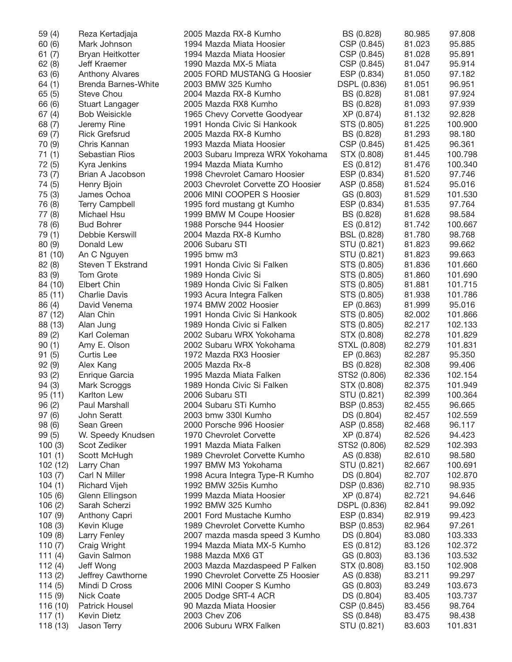| 59 (4)    | Reza Kertadjaja            | 2005 Mazda RX-8 Kumho              | BS (0.828)   | 80.985 | 97.808  |
|-----------|----------------------------|------------------------------------|--------------|--------|---------|
| 60(6)     | Mark Johnson               | 1994 Mazda Miata Hoosier           | CSP (0.845)  | 81.023 | 95.885  |
| 61(7)     | Bryan Heitkotter           | 1994 Mazda Miata Hoosier           | CSP (0.845)  | 81.028 | 95.891  |
| 62(8)     | Jeff Kraemer               | 1990 Mazda MX-5 Miata              | CSP (0.845)  | 81.047 | 95.914  |
| 63 (6)    | <b>Anthony Alvares</b>     | 2005 FORD MUSTANG G Hoosier        | ESP (0.834)  | 81.050 | 97.182  |
| 64(1)     | <b>Brenda Barnes-White</b> | 2003 BMW 325 Kumho                 | DSPL (0.836) | 81.051 | 96.951  |
| 65(5)     | Steve Chou                 | 2004 Mazda RX-8 Kumho              | BS (0.828)   | 81.081 | 97.924  |
| 66 (6)    | Stuart Langager            | 2005 Mazda RX8 Kumho               | BS (0.828)   | 81.093 | 97.939  |
| 67(4)     | <b>Bob Weisickle</b>       | 1965 Chevy Corvette Goodyear       | XP (0.874)   | 81.132 | 92.828  |
| 68 (7)    | Jeremy Rine                | 1991 Honda Civic Si Hankook        | STS (0.805)  | 81.225 | 100.900 |
| 69(7)     | <b>Rick Grefsrud</b>       | 2005 Mazda RX-8 Kumho              | BS (0.828)   | 81.293 | 98.180  |
| 70 (9)    | Chris Kannan               | 1993 Mazda Miata Hoosier           | CSP (0.845)  | 81.425 | 96.361  |
| 71(1)     | Sebastian Rios             | 2003 Subaru Impreza WRX Yokohama   | STX (0.808)  | 81.445 | 100.798 |
| 72 (5)    | Kyra Jenkins               | 1994 Mazda Miata Kumho             | ES (0.812)   | 81.476 | 100.340 |
| 73 (7)    | Brian A Jacobson           | 1998 Chevrolet Camaro Hoosier      | ESP (0.834)  | 81.520 | 97.746  |
| 74 (5)    | Henry Bjoin                | 2003 Chevrolet Corvette ZO Hoosier | ASP (0.858)  | 81.524 | 95.016  |
| 75(3)     | James Ochoa                | 2006 MINI COOPER S Hoosier         | GS (0.803)   | 81.529 | 101.530 |
| 76 (8)    | <b>Terry Campbell</b>      | 1995 ford mustang gt Kumho         | ESP (0.834)  | 81.535 | 97.764  |
|           |                            |                                    |              |        | 98.584  |
| 77 (8)    | Michael Hsu                | 1999 BMW M Coupe Hoosier           | BS (0.828)   | 81.628 |         |
| 78 (6)    | <b>Bud Bohrer</b>          | 1988 Porsche 944 Hoosier           | ES (0.812)   | 81.742 | 100.667 |
| 79 (1)    | Debbie Kerswill            | 2004 Mazda RX-8 Kumho              | BSL (0.828)  | 81.780 | 98.768  |
| 80 (9)    | Donald Lew                 | 2006 Subaru STI                    | STU (0.821)  | 81.823 | 99.662  |
| 81 (10)   | An C Nguyen                | 1995 bmw m3                        | STU (0.821)  | 81.823 | 99.663  |
| 82(8)     | Steven T Ekstrand          | 1991 Honda Civic Si Falken         | STS (0.805)  | 81.836 | 101.660 |
| 83 (9)    | Tom Grote                  | 1989 Honda Civic Si                | STS (0.805)  | 81.860 | 101.690 |
| 84 (10)   | Elbert Chin                | 1989 Honda Civic Si Falken         | STS (0.805)  | 81.881 | 101.715 |
| 85(11)    | <b>Charlie Davis</b>       | 1993 Acura Integra Falken          | STS (0.805)  | 81.938 | 101.786 |
| 86 (4)    | David Venema               | 1974 BMW 2002 Hoosier              | EP (0.863)   | 81.999 | 95.016  |
| 87 (12)   | Alan Chin                  | 1991 Honda Civic Si Hankook        | STS (0.805)  | 82.002 | 101.866 |
| 88 (13)   | Alan Jung                  | 1989 Honda Civic si Falken         | STS (0.805)  | 82.217 | 102.133 |
| 89(2)     | Karl Coleman               | 2002 Subaru WRX Yokohama           | STX (0.808)  | 82.278 | 101.829 |
| 90(1)     | Amy E. Olson               | 2002 Subaru WRX Yokohama           | STXL (0.808) | 82.279 | 101.831 |
| 91(5)     | Curtis Lee                 | 1972 Mazda RX3 Hoosier             | EP (0.863)   | 82.287 | 95.350  |
| 92(9)     | Alex Kang                  | 2005 Mazda Rx-8                    | BS (0.828)   | 82.308 | 99.406  |
| 93(2)     | Enrique Garcia             | 1995 Mazda Miata Falken            | STS2 (0.806) | 82.336 | 102.154 |
| 94(3)     | Mark Scroggs               | 1989 Honda Civic Si Falken         | STX (0.808)  | 82.375 | 101.949 |
| 95(11)    | Karlton Lew                | 2006 Subaru STI                    | STU (0.821)  | 82.399 | 100.364 |
| 96(2)     | Paul Marshall              | 2004 Subaru STi Kumho              | BSP (0.853)  | 82.455 | 96.665  |
| 97(6)     | John Seratt                | 2003 bmw 330I Kumho                | DS (0.804)   | 82.457 | 102.559 |
| 98 (6)    | Sean Green                 | 2000 Porsche 996 Hoosier           | ASP (0.858)  | 82.468 | 96.117  |
| 99(5)     | W. Speedy Knudsen          | 1970 Chevrolet Corvette            | XP (0.874)   | 82.526 | 94.423  |
| 100(3)    | Scot Zediker               | 1991 Mazda Miata Falken            | STS2 (0.806) | 82.529 | 102.393 |
| 101(1)    | Scott McHugh               | 1989 Chevrolet Corvette Kumho      | AS (0.838)   | 82.610 | 98.580  |
| 102 (12)  | Larry Chan                 | 1997 BMW M3 Yokohama               | STU (0.821)  | 82.667 | 100.691 |
| 103(7)    | Carl N Miller              | 1998 Acura Integra Type-R Kumho    | DS (0.804)   | 82.707 | 102.870 |
| 104(1)    | <b>Richard Vijeh</b>       | 1992 BMW 325is Kumho               | DSP (0.836)  | 82.710 | 98.935  |
| 105(6)    | Glenn Ellingson            | 1999 Mazda Miata Hoosier           | XP (0.874)   | 82.721 | 94.646  |
| 106(2)    | Sarah Scherzi              | 1992 BMW 325 Kumho                 | DSPL (0.836) | 82.841 | 99.092  |
| 107(9)    | Anthony Capri              | 2001 Ford Mustache Kumho           | ESP (0.834)  | 82.919 | 99.423  |
|           |                            | 1989 Chevrolet Corvette Kumho      |              |        | 97.261  |
| 108(3)    | Kevin Kluge                |                                    | BSP (0.853)  | 82.964 |         |
| 109(8)    | Larry Fenley               | 2007 mazda masda speed 3 Kumho     | DS (0.804)   | 83.080 | 103.333 |
| 110 $(7)$ | Craig Wright               | 1994 Mazda Miata MX-5 Kumho        | ES (0.812)   | 83.126 | 102.372 |
| 111 $(4)$ | Gavin Salmon               | 1988 Mazda MX6 GT                  | GS (0.803)   | 83.136 | 103.532 |
| 112 $(4)$ | Jeff Wong                  | 2003 Mazda Mazdaspeed P Falken     | STX (0.808)  | 83.150 | 102.908 |
| 113(2)    | Jeffrey Cawthorne          | 1990 Chevrolet Corvette Z5 Hoosier | AS (0.838)   | 83.211 | 99.297  |
| 114(5)    | Mindi D Cross              | 2006 MINI Cooper S Kumho           | GS (0.803)   | 83.249 | 103.673 |
| 115(9)    | <b>Nick Coate</b>          | 2005 Dodge SRT-4 ACR               | DS (0.804)   | 83.405 | 103.737 |
| 116 (10)  | <b>Patrick Housel</b>      | 90 Mazda Miata Hoosier             | CSP (0.845)  | 83.456 | 98.764  |
| 117 $(1)$ | Kevin Dietz                | 2003 Chev Z06                      | SS (0.848)   | 83.475 | 98.438  |
| 118 (13)  | Jason Terry                | 2006 Suburu WRX Falken             | STU (0.821)  | 83.603 | 101.831 |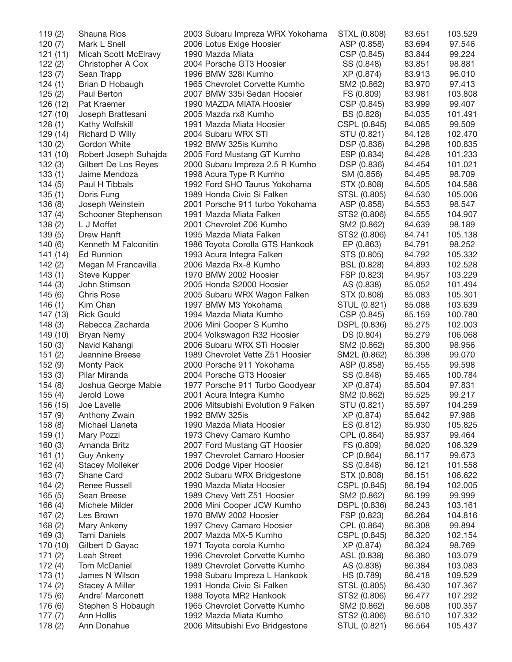| 119(2)   | Shauna Rios            | 2003 Subaru Impreza WRX Yokohama   | STXL (0.808) | 83.651 | 103.529 |
|----------|------------------------|------------------------------------|--------------|--------|---------|
| 120(7)   | Mark L Snell           | 2006 Lotus Exige Hoosier           | ASP (0.858)  | 83.694 | 97.546  |
| 121(11)  | Micah Scott McElravy   | 1990 Mazda Miata                   | CSP (0.845)  | 83.844 | 99.224  |
| 122(2)   | Christopher A Cox      | 2004 Porsche GT3 Hoosier           | SS (0.848)   | 83.851 | 98.881  |
| 123(7)   | Sean Trapp             | 1996 BMW 328i Kumho                | XP (0.874)   | 83.913 | 96.010  |
| 124(1)   | Brian D Hobaugh        | 1965 Chevrolet Corvette Kumho      | SM2 (0.862)  | 83.970 | 97.413  |
| 125(2)   | Paul Berton            | 2007 BMW 335i Sedan Hoosier        | FS (0.809)   | 83.981 | 103.808 |
| 126 (12) | Pat Kraemer            | 1990 MAZDA MIATA Hoosier           | CSP (0.845)  | 83.999 | 99.407  |
| 127 (10) | Joseph Brattesani      | 2005 Mazda rx8 Kumho               | BS (0.828)   | 84.035 | 101.491 |
| 128(1)   | Kathy Wolfskill        | 1991 Mazda Miata Hoosier           | CSPL (0.845) | 84.085 | 99.509  |
| 129 (14) | <b>Richard D Willy</b> | 2004 Subaru WRX STI                | STU (0.821)  | 84.128 | 102.470 |
| 130(2)   | Gordon White           | 1992 BMW 325is Kumho               | DSP (0.836)  | 84.298 | 100.835 |
| 131 (10) | Robert Joseph Suhajda  | 2005 Ford Mustang GT Kumho         | ESP (0.834)  | 84.428 | 101.233 |
| 132(3)   | Gilbert De Los Reyes   | 2000 Subaru Impreza 2.5 R Kumho    | DSP (0.836)  | 84.454 | 101.021 |
| 133(1)   | Jaime Mendoza          |                                    | SM (0.856)   | 84.495 | 98.709  |
|          |                        | 1998 Acura Type R Kumho            |              |        |         |
| 134(5)   | Paul H Tibbals         | 1992 Ford SHO Taurus Yokohama      | STX (0.808)  | 84.505 | 104.586 |
| 135(1)   | Doris Fung             | 1989 Honda Civic Si Falken         | STSL (0.805) | 84.530 | 105.006 |
| 136(8)   | Joseph Weinstein       | 2001 Porsche 911 turbo Yokohama    | ASP (0.858)  | 84.553 | 98.547  |
| 137(4)   | Schooner Stephenson    | 1991 Mazda Miata Falken            | STS2 (0.806) | 84.555 | 104.907 |
| 138(2)   | L J Moffet             | 2001 Chevrolet Z06 Kumho           | SM2 (0.862)  | 84.639 | 98.189  |
| 139(5)   | Drew Hanft             | 1995 Mazda Miata Falken            | STS2 (0.806) | 84.741 | 105.138 |
| 140(6)   | Kenneth M Falconitin   | 1986 Toyota Corolla GTS Hankook    | EP (0.863)   | 84.791 | 98.252  |
| 141 (14) | <b>Ed Runnion</b>      | 1993 Acura Integra Falken          | STS (0.805)  | 84.792 | 105.332 |
| 142(2)   | Megan M Francavilla    | 2006 Mazda Rx-8 Kumho              | BSL (0.828)  | 84.893 | 102.528 |
| 143(1)   | Steve Kupper           | 1970 BMW 2002 Hoosier              | FSP (0.823)  | 84.957 | 103.229 |
| 144(3)   | John Stimson           | 2005 Honda S2000 Hoosier           | AS (0.838)   | 85.052 | 101.494 |
| 145(6)   | <b>Chris Rose</b>      | 2005 Subaru WRX Wagon Falken       | STX (0.808)  | 85.083 | 105.301 |
| 146(1)   | Kim Chan               | 1997 BMW M3 Yokohama               | STUL (0.821) | 85.088 | 103.639 |
| 147 (13) | <b>Rick Gould</b>      | 1994 Mazda Miata Kumho             | CSP (0.845)  | 85.159 | 100.780 |
| 148(3)   | Rebecca Zacharda       | 2006 Mini Cooper S Kumho           | DSPL (0.836) | 85.275 | 102.003 |
| 149 (10) | <b>Bryan Nemy</b>      | 2004 Volkswagon R32 Hoosier        | DS (0.804)   | 85.279 | 106.068 |
| 150(3)   | Navid Kahangi          | 2006 Subaru WRX STi Hoosier        | SM2 (0.862)  | 85.300 | 98.956  |
| 151(2)   | Jeannine Breese        | 1989 Chevrolet Vette Z51 Hoosier   | SM2L (0.862) | 85.398 | 99.070  |
| 152 (9)  | Monty Pack             | 2000 Porsche 911 Yokohama          | ASP (0.858)  | 85.455 | 99.598  |
| 153(3)   | Pilar Miranda          | 2004 Porsche GT3 Hoosier           | SS (0.848)   | 85.465 | 100.784 |
| 154(8)   | Joshua George Mabie    | 1977 Porsche 911 Turbo Goodyear    | XP (0.874)   | 85.504 | 97.831  |
| 155(4)   | Jerold Lowe            | 2001 Acura Integra Kumho           | SM2 (0.862)  | 85.525 | 99.217  |
| 156 (15) | Joe Lavelle            | 2006 Mitsubishi Evolution 9 Falken | STU (0.821)  | 85.597 | 104.259 |
| 157(9)   | Anthony Zwain          | 1992 BMW 325is                     | XP (0.874)   | 85.642 | 97.988  |
| 158(8)   | Michael Llaneta        | 1990 Mazda Miata Hoosier           | ES (0.812)   | 85.930 | 105.825 |
| 159(1)   | Mary Pozzi             | 1973 Chevy Camaro Kumho            | CPL (0.864)  | 85.937 | 99.464  |
| 160(3)   | Amanda Britz           | 2007 Ford Mustang GT Hoosier       | FS (0.809)   | 86.020 | 106.329 |
| 161(1)   | <b>Guy Ankeny</b>      | 1997 Chevrolet Camaro Hoosier      | CP (0.864)   | 86.117 | 99.673  |
| 162(4)   | <b>Stacey Molleker</b> | 2006 Dodge Viper Hoosier           | SS (0.848)   | 86.121 | 101.558 |
| 163(7)   | Shane Card             | 2002 Subaru WRX Bridgestone        | STX (0.808)  | 86.151 | 106.622 |
| 164(2)   | <b>Renee Russell</b>   | 1990 Mazda Miata Hoosier           | CSPL (0.845) | 86.194 | 102.005 |
| 165(5)   | Sean Breese            | 1989 Chevy Vett Z51 Hoosier        | SM2 (0.862)  | 86.199 | 99.999  |
| 166(4)   | Michele Milder         | 2006 Mini Cooper JCW Kumho         | DSPL (0.836) | 86.243 | 103.161 |
|          |                        | 1970 BMW 2002 Hoosier              |              |        |         |
| 167(2)   | Les Brown              |                                    | FSP (0.823)  | 86.264 | 104.816 |
| 168(2)   | Mary Ankeny            | 1997 Chevy Camaro Hoosier          | CPL (0.864)  | 86.308 | 99.894  |
| 169(3)   | Tami Daniels           | 2007 Mazda MX-5 Kumho              | CSPL (0.845) | 86.320 | 102.154 |
| 170 (10) | Gilbert D Gayac        | 1971 Toyota corola Kumho           | XP (0.874)   | 86.324 | 98.769  |
| 171(2)   | Leah Street            | 1996 Chevrolet Corvette Kumho      | ASL (0.838)  | 86.380 | 103.079 |
| 172(4)   | Tom McDaniel           | 1989 Chevrolet Corvette Kumho      | AS (0.838)   | 86.384 | 103.083 |
| 173(1)   | James N Wilson         | 1998 Subaru Impreza L Hankook      | HS (0.789)   | 86.418 | 109.529 |
| 174(2)   | Stacey A Miller        | 1991 Honda Civic Si Falken         | STSL (0.805) | 86.430 | 107.367 |
| 175 (6)  | Andre' Marconett       | 1988 Toyota MR2 Hankook            | STS2 (0.806) | 86.477 | 107.292 |
| 176 (6)  | Stephen S Hobaugh      | 1965 Chevrolet Corvette Kumho      | SM2 (0.862)  | 86.508 | 100.357 |
| 177(7)   | Ann Hollis             | 1992 Mazda Miata Kumho             | STS2 (0.806) | 86.510 | 107.332 |
| 178(2)   | Ann Donahue            | 2006 Mitsubishi Evo Bridgestone    | STUL (0.821) | 86.564 | 105.437 |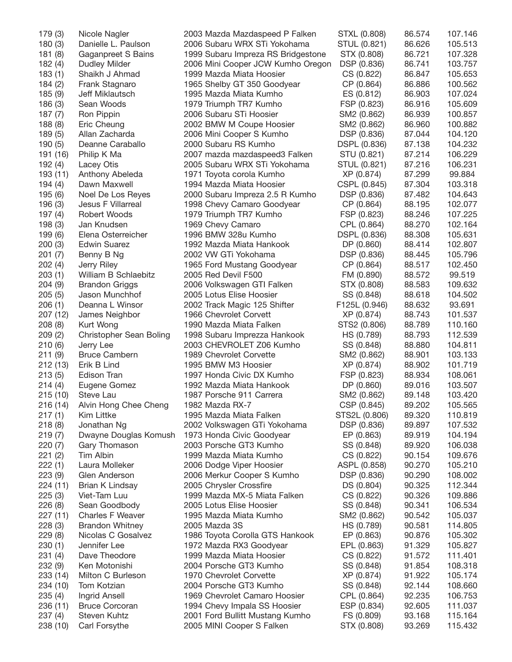| 179 (3)  | Nicole Nagler                  | 2003 Mazda Mazdaspeed P Falken     | STXL (0.808)  | 86.574 | 107.146 |
|----------|--------------------------------|------------------------------------|---------------|--------|---------|
| 180(3)   | Danielle L. Paulson            | 2006 Subaru WRX STi Yokohama       | STUL (0.821)  | 86.626 | 105.513 |
| 181(8)   | Gaganpreet S Bains             | 1999 Subaru Impreza RS Bridgestone | STX (0.808)   | 86.721 | 107.328 |
| 182(4)   | <b>Dudley Milder</b>           | 2006 Mini Cooper JCW Kumho Oregon  | DSP (0.836)   | 86.741 | 103.757 |
| 183(1)   | Shaikh J Ahmad                 | 1999 Mazda Miata Hoosier           | CS (0.822)    | 86.847 | 105.653 |
| 184(2)   | Frank Stagnaro                 | 1965 Shelby GT 350 Goodyear        | CP (0.864)    | 86.886 | 100.562 |
| 185 (9)  | Jeff Miklautsch                | 1995 Mazda Miata Kumho             | ES (0.812)    | 86.903 | 107.024 |
| 186 (3)  | Sean Woods                     | 1979 Triumph TR7 Kumho             | FSP (0.823)   | 86.916 | 105.609 |
| 187(7)   | Ron Pippin                     | 2006 Subaru STi Hoosier            | SM2 (0.862)   | 86.939 | 100.857 |
| 188(8)   | Eric Cheung                    | 2002 BMW M Coupe Hoosier           | SM2 (0.862)   | 86.960 | 100.882 |
| 189 (5)  | Allan Zacharda                 | 2006 Mini Cooper S Kumho           | DSP (0.836)   | 87.044 | 104.120 |
| 190(5)   | Deanne Caraballo               | 2000 Subaru RS Kumho               | DSPL (0.836)  | 87.138 | 104.232 |
|          |                                |                                    |               |        |         |
| 191 (16) | Philip K Ma                    | 2007 mazda mazdaspeed3 Falken      | STU (0.821)   | 87.214 | 106.229 |
| 192(4)   | Lacey Otis                     | 2005 Subaru WRX STi Yokohama       | STUL (0.821)  | 87.216 | 106.231 |
| 193 (11) | Anthony Abeleda                | 1971 Toyota corola Kumho           | XP (0.874)    | 87.299 | 99.884  |
| 194 (4)  | Dawn Maxwell                   | 1994 Mazda Miata Hoosier           | CSPL (0.845)  | 87.304 | 103.318 |
| 195 (6)  | Noel De Los Reyes              | 2000 Subaru Impreza 2.5 R Kumho    | DSP (0.836)   | 87.482 | 104.643 |
| 196 (3)  | Jesus F Villarreal             | 1998 Chevy Camaro Goodyear         | CP (0.864)    | 88.195 | 102.077 |
| 197 (4)  | Robert Woods                   | 1979 Triumph TR7 Kumho             | FSP (0.823)   | 88.246 | 107.225 |
| 198 (3)  | Jan Knudsen                    | 1969 Chevy Camaro                  | CPL (0.864)   | 88.270 | 102.164 |
| 199 (6)  | Elena Osterreicher             | 1996 BMW 328u Kumho                | DSPL (0.836)  | 88.308 | 105.631 |
| 200(3)   | <b>Edwin Suarez</b>            | 1992 Mazda Miata Hankook           | DP (0.860)    | 88.414 | 102.807 |
| 201(7)   | Benny B Ng                     | 2002 VW GTi Yokohama               | DSP (0.836)   | 88.445 | 105.796 |
| 202(4)   | Jerry Riley                    | 1965 Ford Mustang Goodyear         | CP (0.864)    | 88.517 | 102.450 |
| 203(1)   | William B Schlaebitz           | 2005 Red Devil F500                | FM (0.890)    | 88.572 | 99.519  |
| 204 (9)  | <b>Brandon Griggs</b>          | 2006 Volkswagen GTI Falken         | STX (0.808)   | 88.583 | 109.632 |
| 205(5)   | Jason Munchhof                 | 2005 Lotus Elise Hoosier           | SS (0.848)    | 88.618 | 104.502 |
| 206(1)   | Deanna L Winsor                | 2002 Track Magic 125 Shifter       | F125L (0.946) | 88.632 | 93.691  |
| 207 (12) | James Neighbor                 | 1966 Chevrolet Corvett             | XP (0.874)    | 88.743 | 101.537 |
| 208(8)   | Kurt Wong                      | 1990 Mazda Miata Falken            | STS2 (0.806)  | 88.789 | 110.160 |
| 209(2)   | Christopher Sean Boling        | 1998 Subaru Imprezza Hankook       | HS (0.789)    | 88.793 | 112.539 |
|          |                                |                                    |               |        | 104.811 |
| 210(6)   | Jerry Lee                      | 2003 CHEVROLET Z06 Kumho           | SS (0.848)    | 88.880 |         |
| 211(9)   | <b>Bruce Cambern</b>           | 1989 Chevrolet Corvette            | SM2 (0.862)   | 88.901 | 103.133 |
| 212 (13) | Erik B Lind                    | 1995 BMW M3 Hoosier                | XP (0.874)    | 88.902 | 101.719 |
| 213(5)   | Edison Tran                    | 1997 Honda Civic DX Kumho          | FSP (0.823)   | 88.934 | 108.061 |
| 214(4)   | Eugene Gomez                   | 1992 Mazda Miata Hankook           | DP (0.860)    | 89.016 | 103.507 |
| 215(10)  | Steve Lau                      | 1987 Porsche 911 Carrera           | SM2 (0.862)   | 89.148 | 103.420 |
|          | 216 (14) Alvin Hong Chee Cheng | 1982 Mazda RX-7                    | CSP (0.845)   | 89.202 | 105.565 |
| 217(1)   | Kim Littke                     | 1995 Mazda Miata Falken            | STS2L (0.806) | 89.320 | 110.819 |
| 218(8)   | Jonathan Ng                    | 2002 Volkswagen GTi Yokohama       | DSP (0.836)   | 89.897 | 107.532 |
| 219(7)   | Dwayne Douglas Komush          | 1973 Honda Civic Goodyear          | EP (0.863)    | 89.919 | 104.194 |
| 220(7)   | Gary Thomason                  | 2003 Porsche GT3 Kumho             | SS (0.848)    | 89.920 | 106.038 |
| 221(2)   | Tim Albin                      | 1999 Mazda Miata Kumho             | CS (0.822)    | 90.154 | 109.676 |
| 222(1)   | Laura Molleker                 | 2006 Dodge Viper Hoosier           | ASPL (0.858)  | 90.270 | 105.210 |
| 223(9)   | Glen Anderson                  | 2006 Merkur Cooper S Kumho         | DSP (0.836)   | 90.290 | 108.002 |
| 224 (11) | Brian K Lindsay                | 2005 Chrysler Crossfire            | DS (0.804)    | 90.325 | 112.344 |
| 225(3)   | Viet-Tam Luu                   | 1999 Mazda MX-5 Miata Falken       | CS (0.822)    | 90.326 | 109.886 |
| 226(8)   | Sean Goodbody                  | 2005 Lotus Elise Hoosier           | SS (0.848)    | 90.341 | 106.534 |
| 227 (11) | Charles F Weaver               | 1995 Mazda Miata Kumho             | SM2 (0.862)   | 90.542 | 105.037 |
| 228(3)   | <b>Brandon Whitney</b>         | 2005 Mazda 3S                      | HS (0.789)    | 90.581 | 114.805 |
| 229(8)   | Nicolas C Gosalvez             | 1986 Toyota Corolla GTS Hankook    | EP (0.863)    | 90.876 | 105.302 |
| 230 (1)  | Jennifer Lee                   | 1972 Mazda RX3 Goodyear            | EPL (0.863)   | 91.329 | 105.827 |
| 231(4)   | Dave Theodore                  | 1999 Mazda Miata Hoosier           |               | 91.572 |         |
|          |                                |                                    | CS (0.822)    |        | 111.401 |
| 232(9)   | Ken Motonishi                  | 2004 Porsche GT3 Kumho             | SS (0.848)    | 91.854 | 108.318 |
| 233 (14) | Milton C Burleson              | 1970 Chevrolet Corvette            | XP (0.874)    | 91.922 | 105.174 |
| 234 (10) | Tom Kotzian                    | 2004 Porsche GT3 Kumho             | SS (0.848)    | 92.144 | 108.660 |
| 235(4)   | Ingrid Ansell                  | 1969 Chevrolet Camaro Hoosier      | CPL (0.864)   | 92.235 | 106.753 |
| 236 (11) | <b>Bruce Corcoran</b>          | 1994 Chevy Impala SS Hoosier       | ESP (0.834)   | 92.605 | 111.037 |
| 237 (4)  | Steven Kuhtz                   | 2001 Ford Bullitt Mustang Kumho    | FS (0.809)    | 93.168 | 115.164 |
| 238 (10) | Carl Forsythe                  | 2005 MINI Cooper S Falken          | STX (0.808)   | 93.269 | 115.432 |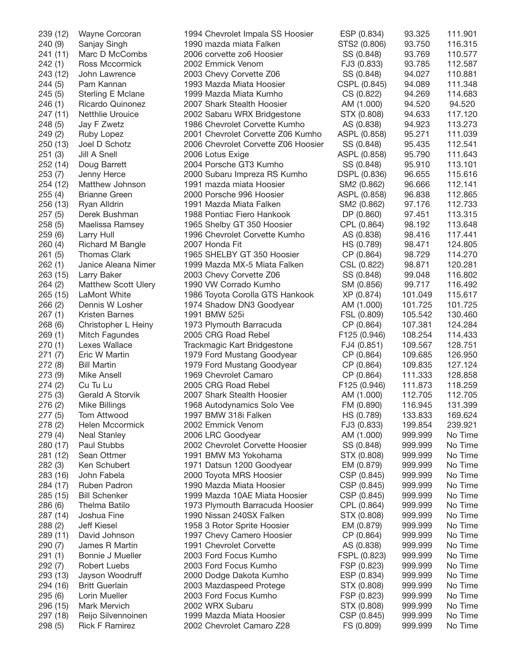| 239 (12) | Wayne Corcoran             | 1994 Chevrolet Impala SS Hoosier    | ESP (0.834)  | 93.325  | 111.901 |
|----------|----------------------------|-------------------------------------|--------------|---------|---------|
| 240 (9)  | Sanjay Singh               | 1990 mazda miata Falken             | STS2 (0.806) | 93.750  | 116.315 |
| 241 (11) | Marc D McCombs             | 2006 corvette zo6 Hoosier           | SS (0.848)   | 93.769  | 110.577 |
| 242(1)   | Ross Mccormick             | 2002 Emmick Venom                   | FJ3 (0.833)  | 93.785  | 112.587 |
| 243 (12) | John Lawrence              | 2003 Chevy Corvette Z06             | SS (0.848)   | 94.027  | 110.881 |
| 244 (5)  | Pam Kannan                 | 1993 Mazda Miata Hoosier            | CSPL (0.845) | 94.089  | 111.348 |
| 245(5)   | Sterling E Mclane          | 1999 Mazda Miata Kumho              | CS (0.822)   | 94.269  | 114.683 |
| 246(1)   | Ricardo Quinonez           | 2007 Shark Stealth Hoosier          | AM (1.000)   | 94.520  | 94.520  |
| 247 (11) | <b>Netthlie Urouice</b>    | 2002 Sabaru WRX Bridgestone         | STX (0.808)  | 94.633  | 117.120 |
|          | Jay F Zwetz                | 1986 Chevrolet Corvette Kumho       | AS (0.838)   | 94.923  | 113.273 |
| 248 (5)  |                            |                                     |              |         |         |
| 249 (2)  | Ruby Lopez                 | 2001 Chevrolet Corvette Z06 Kumho   | ASPL (0.858) | 95.271  | 111.039 |
| 250(13)  | Joel D Schotz              | 2006 Chevrolet Corvette Z06 Hoosier | SS (0.848)   | 95.435  | 112.541 |
| 251(3)   | Jill A Snell               | 2006 Lotus Exige                    | ASPL (0.858) | 95.790  | 111.643 |
| 252 (14) | Doug Barrett               | 2004 Porsche GT3 Kumho              | SS (0.848)   | 95.910  | 113.101 |
| 253(7)   | Jenny Herce                | 2000 Subaru Impreza RS Kumho        | DSPL (0.836) | 96.655  | 115.616 |
| 254 (12) | Matthew Johnson            | 1991 mazda miata Hoosier            | SM2 (0.862)  | 96.666  | 112.141 |
| 255(4)   | <b>Brianne Green</b>       | 2000 Porsche 996 Hoosier            | ASPL (0.858) | 96.838  | 112.865 |
| 256 (13) | Ryan Alldrin               | 1991 Mazda Miata Falken             | SM2 (0.862)  | 97.176  | 112.733 |
| 257(5)   | Derek Bushman              | 1988 Pontiac Fiero Hankook          | DP (0.860)   | 97.451  | 113.315 |
| 258(5)   | Maelissa Ramsey            | 1965 Shelby GT 350 Hoosier          | CPL (0.864)  | 98.192  | 113.648 |
| 259 (6)  | Larry Hull                 | 1996 Chevrolet Corvette Kumho       | AS (0.838)   | 98.416  | 117.441 |
| 260(4)   | Richard M Bangle           | 2007 Honda Fit                      | HS (0.789)   | 98.471  | 124.805 |
| 261(5)   | <b>Thomas Clark</b>        | 1965 SHELBY GT 350 Hoosier          |              | 98.729  | 114.270 |
|          |                            |                                     | CP (0.864)   |         |         |
| 262(1)   | Janice Aleana Nimer        | 1999 Mazda MX-5 Miata Falken        | CSL (0.822)  | 98.871  | 120.281 |
| 263 (15) | Larry Baker                | 2003 Chevy Corvette Z06             | SS (0.848)   | 99.048  | 116.802 |
| 264 (2)  | <b>Matthew Scott Ulery</b> | 1990 VW Corrado Kumho               | SM (0.856)   | 99.717  | 116.492 |
| 265 (15) | LaMont White               | 1986 Toyota Corolla GTS Hankook     | XP (0.874)   | 101.049 | 115.617 |
| 266(2)   | Dennis W Losher            | 1974 Shadow DN3 Goodyear            | AM (1.000)   | 101.725 | 101.725 |
| 267(1)   | <b>Kristen Barnes</b>      | 1991 BMW 525i                       | FSL (0.809)  | 105.542 | 130.460 |
| 268 (6)  | Christopher L Heiny        | 1973 Plymouth Barracuda             | CP (0.864)   | 107.381 | 124.284 |
| 269(1)   | Mitch Fagundes             | 2005 CRG Road Rebel                 | F125 (0.946) | 108.254 | 114.433 |
| 270(1)   | Lexes Wallace              | Trackmagic Kart Bridgestone         | FJ4 (0.851)  | 109.567 | 128.751 |
| 271(7)   | Eric W Martin              | 1979 Ford Mustang Goodyear          | CP (0.864)   | 109.685 | 126.950 |
| 272 (8)  | <b>Bill Martin</b>         | 1979 Ford Mustang Goodyear          | CP (0.864)   | 109.835 | 127.124 |
| 273 (9)  | Mike Ansell                | 1969 Chevrolet Camaro               | CP (0.864)   | 111.333 | 128.858 |
| 274 (2)  | Cu Tu Lu                   | 2005 CRG Road Rebel                 | F125 (0.946) | 111.873 | 118.259 |
| 275(3)   | Gerald A Storvik           | 2007 Shark Stealth Hoosier          |              | 112.705 | 112.705 |
|          |                            |                                     | AM (1.000)   |         |         |
| 276 (2)  | <b>Mike Billings</b>       | 1968 Autodynamics Solo Vee          | FM (0.890)   | 116.945 | 131.399 |
| 277(5)   | Tom Attwood                | 1997 BMW 318i Falken                | HS (0.789)   | 133.833 | 169.624 |
| 278 (2)  | Helen Mccormick            | 2002 Emmick Venom                   | FJ3 (0.833)  | 199.854 | 239.921 |
| 279(4)   | <b>Neal Stanley</b>        | 2006 LRC Goodyear                   | AM (1.000)   | 999.999 | No Time |
| 280 (17) | Paul Stubbs                | 2002 Chevrolet Corvette Hoosier     | SS (0.848)   | 999.999 | No Time |
| 281 (12) | Sean Ottmer                | 1991 BMW M3 Yokohama                | STX (0.808)  | 999.999 | No Time |
| 282(3)   | Ken Schubert               | 1971 Datsun 1200 Goodyear           | EM (0.879)   | 999.999 | No Time |
| 283 (16) | John Fabela                | 2000 Toyota MRS Hoosier             | CSP (0.845)  | 999.999 | No Time |
| 284 (17) | Ruben Padron               | 1990 Mazda Miata Hoosier            | CSP (0.845)  | 999.999 | No Time |
| 285 (15) | <b>Bill Schenker</b>       | 1999 Mazda 10AE Miata Hoosier       | CSP (0.845)  | 999.999 | No Time |
| 286(6)   | Thelma Batilo              | 1973 Plymouth Barracuda Hoosier     | CPL (0.864)  | 999.999 | No Time |
| 287 (14) | Joshua Fine                | 1990 Nissan 240SX Falken            | STX (0.808)  | 999.999 | No Time |
| 288 (2)  | <b>Jeff Kiesel</b>         | 1958 3 Rotor Sprite Hoosier         | EM (0.879)   | 999.999 | No Time |
| 289 (11) | David Johnson              | 1997 Chevy Camero Hoosier           | CP (0.864)   | 999.999 | No Time |
|          |                            |                                     |              |         |         |
| 290(7)   | James R Martin             | 1991 Chevrolet Corvette             | AS (0.838)   | 999.999 | No Time |
| 291(1)   | Bonnie J Mueller           | 2003 Ford Focus Kumho               | FSPL (0.823) | 999.999 | No Time |
| 292 (7)  | Robert Luebs               | 2003 Ford Focus Kumho               | FSP (0.823)  | 999.999 | No Time |
| 293 (13) | Jayson Woodruff            | 2000 Dodge Dakota Kumho             | ESP (0.834)  | 999.999 | No Time |
| 294 (16) | <b>Britt Guerlain</b>      | 2003 Mazdaspeed Protege             | STX (0.808)  | 999.999 | No Time |
| 295(6)   | Lorin Mueller              | 2003 Ford Focus Kumho               | FSP (0.823)  | 999.999 | No Time |
| 296 (15) | Mark Mervich               | 2002 WRX Subaru                     | STX (0.808)  | 999.999 | No Time |
| 297 (18) | Reijo Silvennoinen         | 1999 Mazda Miata Hoosier            | CSP (0.845)  | 999.999 | No Time |
| 298 (5)  | <b>Rick F Ramirez</b>      | 2002 Chevrolet Camaro Z28           | FS (0.809)   | 999.999 | No Time |